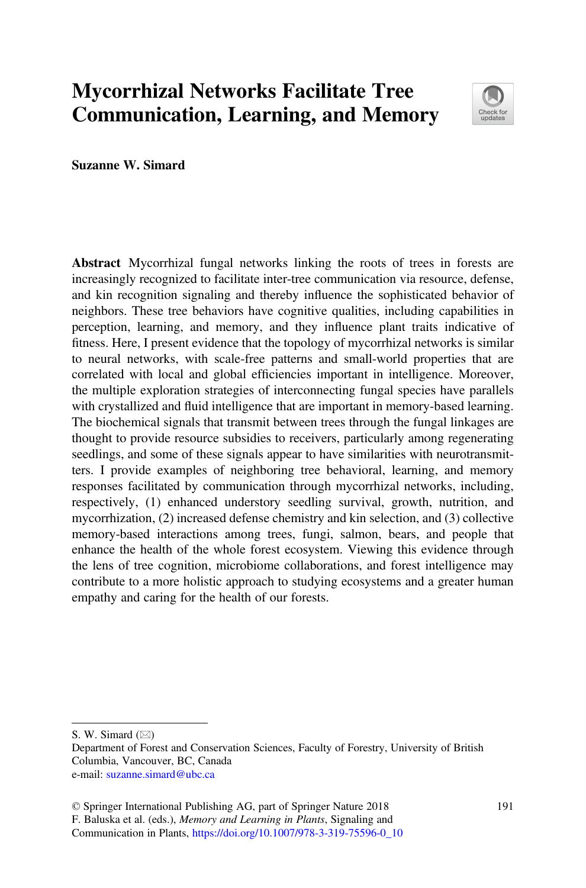# Mycorrhizal Networks Facilitate Tree Communication, Learning, and Memory



Suzanne W. Simard

Abstract Mycorrhizal fungal networks linking the roots of trees in forests are increasingly recognized to facilitate inter-tree communication via resource, defense, and kin recognition signaling and thereby influence the sophisticated behavior of neighbors. These tree behaviors have cognitive qualities, including capabilities in perception, learning, and memory, and they influence plant traits indicative of fitness. Here, I present evidence that the topology of mycorrhizal networks is similar to neural networks, with scale-free patterns and small-world properties that are correlated with local and global efficiencies important in intelligence. Moreover, the multiple exploration strategies of interconnecting fungal species have parallels with crystallized and fluid intelligence that are important in memory-based learning. The biochemical signals that transmit between trees through the fungal linkages are thought to provide resource subsidies to receivers, particularly among regenerating seedlings, and some of these signals appear to have similarities with neurotransmitters. I provide examples of neighboring tree behavioral, learning, and memory responses facilitated by communication through mycorrhizal networks, including, respectively, (1) enhanced understory seedling survival, growth, nutrition, and mycorrhization, (2) increased defense chemistry and kin selection, and (3) collective memory-based interactions among trees, fungi, salmon, bears, and people that enhance the health of the whole forest ecosystem. Viewing this evidence through the lens of tree cognition, microbiome collaborations, and forest intelligence may contribute to a more holistic approach to studying ecosystems and a greater human empathy and caring for the health of our forests.

S. W. Simard  $(\boxtimes)$ 

Department of Forest and Conservation Sciences, Faculty of Forestry, University of British Columbia, Vancouver, BC, Canada e-mail: [suzanne.simard@ubc.ca](mailto:suzanne.simard@ubc.ca)

<sup>©</sup> Springer International Publishing AG, part of Springer Nature 2018

F. Baluska et al. (eds.), Memory and Learning in Plants, Signaling and Communication in Plants, [https://doi.org/10.1007/978-3-319-75596-0\\_10](https://doi.org/10.1007/978-3-319-75596-0_10)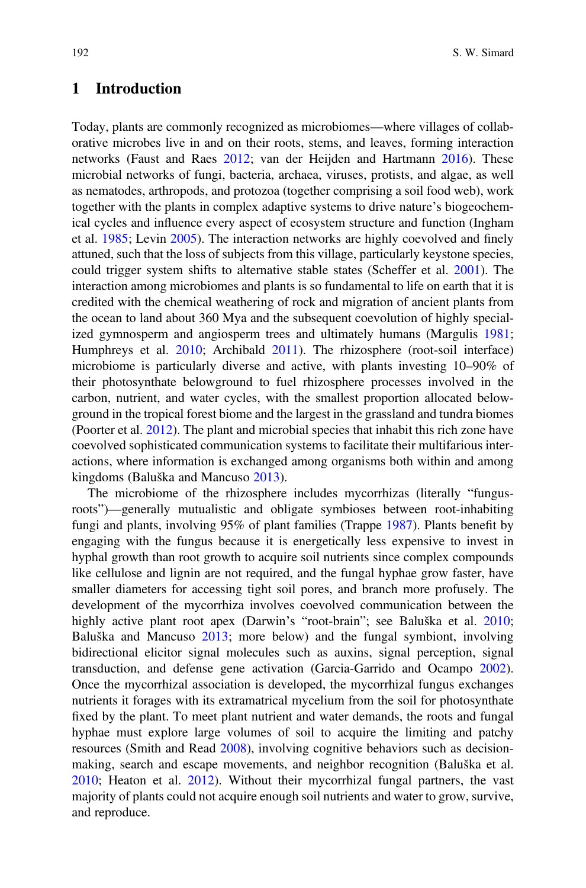# 1 Introduction

Today, plants are commonly recognized as microbiomes—where villages of collaborative microbes live in and on their roots, stems, and leaves, forming interaction networks (Faust and Raes [2012;](#page-18-0) van der Heijden and Hartmann [2016](#page-22-0)). These microbial networks of fungi, bacteria, archaea, viruses, protists, and algae, as well as nematodes, arthropods, and protozoa (together comprising a soil food web), work together with the plants in complex adaptive systems to drive nature's biogeochemical cycles and influence every aspect of ecosystem structure and function (Ingham et al. [1985](#page-19-0); Levin [2005\)](#page-20-0). The interaction networks are highly coevolved and finely attuned, such that the loss of subjects from this village, particularly keystone species, could trigger system shifts to alternative stable states (Scheffer et al. [2001\)](#page-21-0). The interaction among microbiomes and plants is so fundamental to life on earth that it is credited with the chemical weathering of rock and migration of ancient plants from the ocean to land about 360 Mya and the subsequent coevolution of highly specialized gymnosperm and angiosperm trees and ultimately humans (Margulis [1981;](#page-20-1) Humphreys et al. [2010;](#page-19-1) Archibald [2011](#page-17-0)). The rhizosphere (root-soil interface) microbiome is particularly diverse and active, with plants investing 10–90% of their photosynthate belowground to fuel rhizosphere processes involved in the carbon, nutrient, and water cycles, with the smallest proportion allocated belowground in the tropical forest biome and the largest in the grassland and tundra biomes (Poorter et al. [2012\)](#page-20-2). The plant and microbial species that inhabit this rich zone have coevolved sophisticated communication systems to facilitate their multifarious interactions, where information is exchanged among organisms both within and among kingdoms (Baluška and Mancuso [2013](#page-17-1)).

The microbiome of the rhizosphere includes mycorrhizas (literally "fungusroots")—generally mutualistic and obligate symbioses between root-inhabiting fungi and plants, involving 95% of plant families (Trappe [1987\)](#page-21-1). Plants benefit by engaging with the fungus because it is energetically less expensive to invest in hyphal growth than root growth to acquire soil nutrients since complex compounds like cellulose and lignin are not required, and the fungal hyphae grow faster, have smaller diameters for accessing tight soil pores, and branch more profusely. The development of the mycorrhiza involves coevolved communication between the highly active plant root apex (Darwin's "root-brain"; see Baluška et al. [2010;](#page-17-2) Baluška and Mancuso [2013](#page-17-1); more below) and the fungal symbiont, involving bidirectional elicitor signal molecules such as auxins, signal perception, signal transduction, and defense gene activation (Garcia-Garrido and Ocampo [2002\)](#page-18-1). Once the mycorrhizal association is developed, the mycorrhizal fungus exchanges nutrients it forages with its extramatrical mycelium from the soil for photosynthate fixed by the plant. To meet plant nutrient and water demands, the roots and fungal hyphae must explore large volumes of soil to acquire the limiting and patchy resources (Smith and Read [2008](#page-21-2)), involving cognitive behaviors such as decisionmaking, search and escape movements, and neighbor recognition (Baluška et al. [2010;](#page-17-2) Heaton et al. [2012\)](#page-19-2). Without their mycorrhizal fungal partners, the vast majority of plants could not acquire enough soil nutrients and water to grow, survive, and reproduce.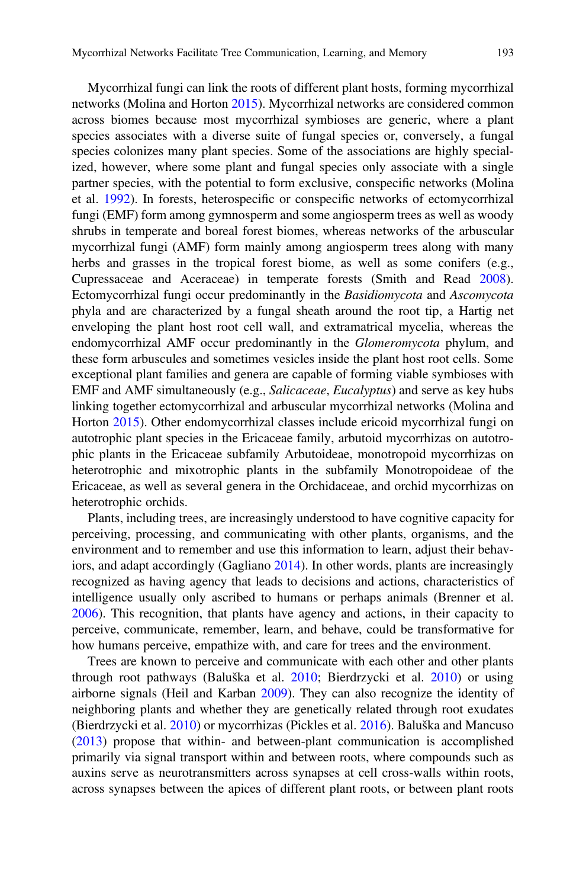Mycorrhizal fungi can link the roots of different plant hosts, forming mycorrhizal networks (Molina and Horton [2015\)](#page-20-3). Mycorrhizal networks are considered common across biomes because most mycorrhizal symbioses are generic, where a plant species associates with a diverse suite of fungal species or, conversely, a fungal species colonizes many plant species. Some of the associations are highly specialized, however, where some plant and fungal species only associate with a single partner species, with the potential to form exclusive, conspecific networks (Molina et al. [1992\)](#page-20-4). In forests, heterospecific or conspecific networks of ectomycorrhizal fungi (EMF) form among gymnosperm and some angiosperm trees as well as woody shrubs in temperate and boreal forest biomes, whereas networks of the arbuscular mycorrhizal fungi (AMF) form mainly among angiosperm trees along with many herbs and grasses in the tropical forest biome, as well as some conifers (e.g., Cupressaceae and Aceraceae) in temperate forests (Smith and Read [2008\)](#page-21-2). Ectomycorrhizal fungi occur predominantly in the Basidiomycota and Ascomycota phyla and are characterized by a fungal sheath around the root tip, a Hartig net enveloping the plant host root cell wall, and extramatrical mycelia, whereas the endomycorrhizal AMF occur predominantly in the Glomeromycota phylum, and these form arbuscules and sometimes vesicles inside the plant host root cells. Some exceptional plant families and genera are capable of forming viable symbioses with EMF and AMF simultaneously (e.g., Salicaceae, Eucalyptus) and serve as key hubs linking together ectomycorrhizal and arbuscular mycorrhizal networks (Molina and Horton [2015\)](#page-20-3). Other endomycorrhizal classes include ericoid mycorrhizal fungi on autotrophic plant species in the Ericaceae family, arbutoid mycorrhizas on autotrophic plants in the Ericaceae subfamily Arbutoideae, monotropoid mycorrhizas on heterotrophic and mixotrophic plants in the subfamily Monotropoideae of the Ericaceae, as well as several genera in the Orchidaceae, and orchid mycorrhizas on heterotrophic orchids.

Plants, including trees, are increasingly understood to have cognitive capacity for perceiving, processing, and communicating with other plants, organisms, and the environment and to remember and use this information to learn, adjust their behaviors, and adapt accordingly (Gagliano [2014\)](#page-18-2). In other words, plants are increasingly recognized as having agency that leads to decisions and actions, characteristics of intelligence usually only ascribed to humans or perhaps animals (Brenner et al. [2006\)](#page-18-3). This recognition, that plants have agency and actions, in their capacity to perceive, communicate, remember, learn, and behave, could be transformative for how humans perceive, empathize with, and care for trees and the environment.

Trees are known to perceive and communicate with each other and other plants through root pathways (Baluška et al. [2010](#page-17-2); Bierdrzycki et al. [2010](#page-17-3)) or using airborne signals (Heil and Karban [2009\)](#page-19-3). They can also recognize the identity of neighboring plants and whether they are genetically related through root exudates (Bierdrzycki et al. [2010](#page-17-3)) or mycorrhizas (Pickles et al. [2016](#page-20-5)). Baluška and Mancuso [\(2013](#page-17-1)) propose that within- and between-plant communication is accomplished primarily via signal transport within and between roots, where compounds such as auxins serve as neurotransmitters across synapses at cell cross-walls within roots, across synapses between the apices of different plant roots, or between plant roots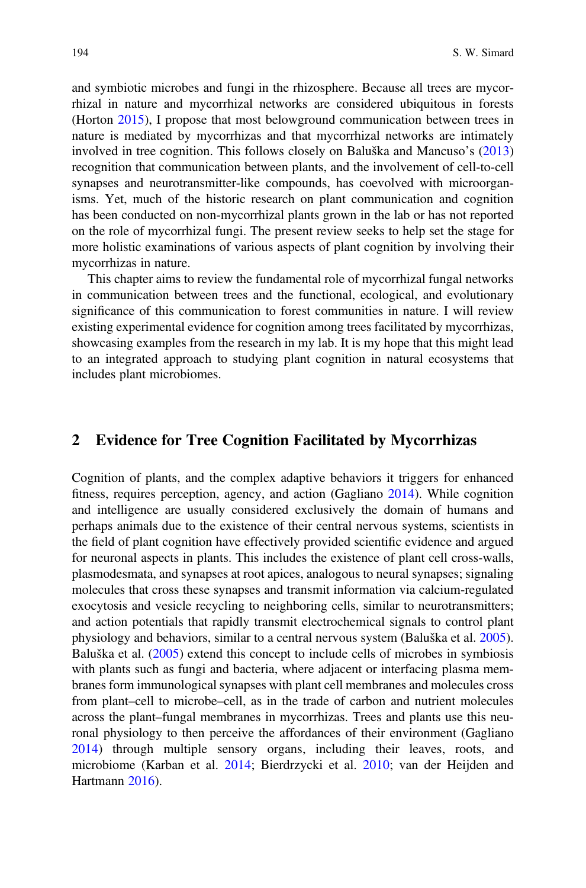and symbiotic microbes and fungi in the rhizosphere. Because all trees are mycorrhizal in nature and mycorrhizal networks are considered ubiquitous in forests (Horton [2015](#page-19-4)), I propose that most belowground communication between trees in nature is mediated by mycorrhizas and that mycorrhizal networks are intimately involved in tree cognition. This follows closely on Baluška and Mancuso's [\(2013](#page-17-1)) recognition that communication between plants, and the involvement of cell-to-cell synapses and neurotransmitter-like compounds, has coevolved with microorganisms. Yet, much of the historic research on plant communication and cognition has been conducted on non-mycorrhizal plants grown in the lab or has not reported on the role of mycorrhizal fungi. The present review seeks to help set the stage for more holistic examinations of various aspects of plant cognition by involving their mycorrhizas in nature.

This chapter aims to review the fundamental role of mycorrhizal fungal networks in communication between trees and the functional, ecological, and evolutionary significance of this communication to forest communities in nature. I will review existing experimental evidence for cognition among trees facilitated by mycorrhizas, showcasing examples from the research in my lab. It is my hope that this might lead to an integrated approach to studying plant cognition in natural ecosystems that includes plant microbiomes.

### 2 Evidence for Tree Cognition Facilitated by Mycorrhizas

Cognition of plants, and the complex adaptive behaviors it triggers for enhanced fitness, requires perception, agency, and action (Gagliano [2014](#page-18-2)). While cognition and intelligence are usually considered exclusively the domain of humans and perhaps animals due to the existence of their central nervous systems, scientists in the field of plant cognition have effectively provided scientific evidence and argued for neuronal aspects in plants. This includes the existence of plant cell cross-walls, plasmodesmata, and synapses at root apices, analogous to neural synapses; signaling molecules that cross these synapses and transmit information via calcium-regulated exocytosis and vesicle recycling to neighboring cells, similar to neurotransmitters; and action potentials that rapidly transmit electrochemical signals to control plant physiology and behaviors, similar to a central nervous system (Baluška et al. [2005\)](#page-17-4). Baluška et al. ([2005\)](#page-17-4) extend this concept to include cells of microbes in symbiosis with plants such as fungi and bacteria, where adjacent or interfacing plasma membranes form immunological synapses with plant cell membranes and molecules cross from plant–cell to microbe–cell, as in the trade of carbon and nutrient molecules across the plant–fungal membranes in mycorrhizas. Trees and plants use this neuronal physiology to then perceive the affordances of their environment (Gagliano [2014\)](#page-18-2) through multiple sensory organs, including their leaves, roots, and microbiome (Karban et al. [2014](#page-19-5); Bierdrzycki et al. [2010](#page-17-3); van der Heijden and Hartmann [2016](#page-22-0)).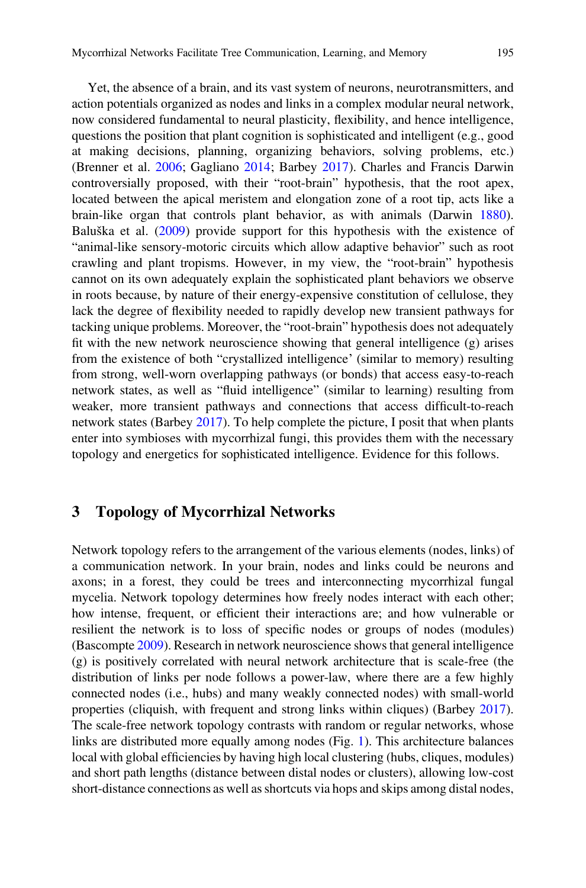Yet, the absence of a brain, and its vast system of neurons, neurotransmitters, and action potentials organized as nodes and links in a complex modular neural network, now considered fundamental to neural plasticity, flexibility, and hence intelligence, questions the position that plant cognition is sophisticated and intelligent (e.g., good at making decisions, planning, organizing behaviors, solving problems, etc.) (Brenner et al. [2006;](#page-18-3) Gagliano [2014](#page-18-2); Barbey [2017\)](#page-17-5). Charles and Francis Darwin controversially proposed, with their "root-brain" hypothesis, that the root apex, located between the apical meristem and elongation zone of a root tip, acts like a brain-like organ that controls plant behavior, as with animals (Darwin [1880\)](#page-18-4). Baluška et al. [\(2009](#page-17-6)) provide support for this hypothesis with the existence of "animal-like sensory-motoric circuits which allow adaptive behavior" such as root crawling and plant tropisms. However, in my view, the "root-brain" hypothesis cannot on its own adequately explain the sophisticated plant behaviors we observe in roots because, by nature of their energy-expensive constitution of cellulose, they lack the degree of flexibility needed to rapidly develop new transient pathways for tacking unique problems. Moreover, the "root-brain" hypothesis does not adequately fit with the new network neuroscience showing that general intelligence (g) arises from the existence of both "crystallized intelligence' (similar to memory) resulting from strong, well-worn overlapping pathways (or bonds) that access easy-to-reach network states, as well as "fluid intelligence" (similar to learning) resulting from weaker, more transient pathways and connections that access difficult-to-reach network states (Barbey [2017](#page-17-5)). To help complete the picture, I posit that when plants enter into symbioses with mycorrhizal fungi, this provides them with the necessary topology and energetics for sophisticated intelligence. Evidence for this follows.

### 3 Topology of Mycorrhizal Networks

Network topology refers to the arrangement of the various elements (nodes, links) of a communication network. In your brain, nodes and links could be neurons and axons; in a forest, they could be trees and interconnecting mycorrhizal fungal mycelia. Network topology determines how freely nodes interact with each other; how intense, frequent, or efficient their interactions are; and how vulnerable or resilient the network is to loss of specific nodes or groups of nodes (modules) (Bascompte [2009\)](#page-17-7). Research in network neuroscience shows that general intelligence (g) is positively correlated with neural network architecture that is scale-free (the distribution of links per node follows a power-law, where there are a few highly connected nodes (i.e., hubs) and many weakly connected nodes) with small-world properties (cliquish, with frequent and strong links within cliques) (Barbey [2017\)](#page-17-5). The scale-free network topology contrasts with random or regular networks, whose links are distributed more equally among nodes (Fig. [1](#page-5-0)). This architecture balances local with global efficiencies by having high local clustering (hubs, cliques, modules) and short path lengths (distance between distal nodes or clusters), allowing low-cost short-distance connections as well as shortcuts via hops and skips among distal nodes,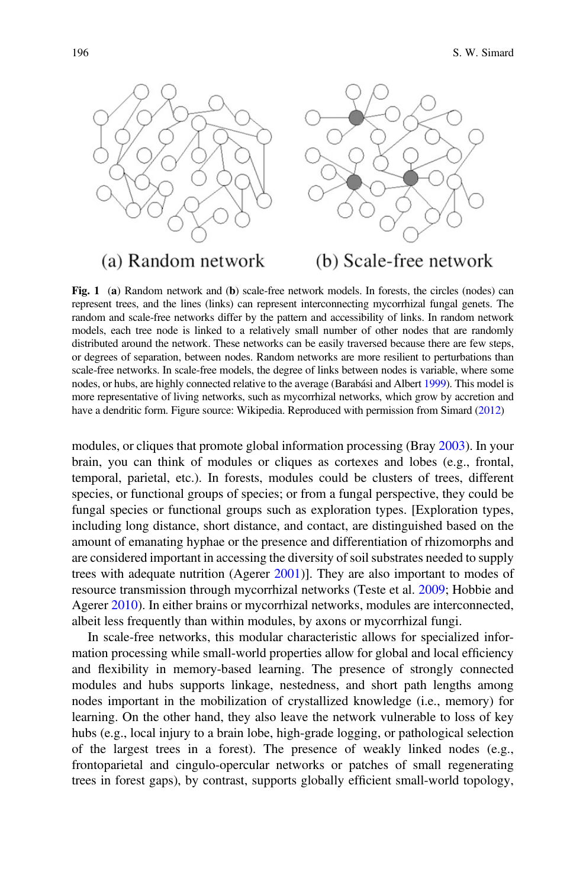<span id="page-5-0"></span>

Fig. 1 (a) Random network and (b) scale-free network models. In forests, the circles (nodes) can represent trees, and the lines (links) can represent interconnecting mycorrhizal fungal genets. The random and scale-free networks differ by the pattern and accessibility of links. In random network models, each tree node is linked to a relatively small number of other nodes that are randomly distributed around the network. These networks can be easily traversed because there are few steps, or degrees of separation, between nodes. Random networks are more resilient to perturbations than scale-free networks. In scale-free models, the degree of links between nodes is variable, where some nodes, or hubs, are highly connected relative to the average (Barabási and Albert [1999\)](#page-17-10). This model is more representative of living networks, such as mycorrhizal networks, which grow by accretion and have a dendritic form. Figure source: Wikipedia. Reproduced with permission from Simard [\(2012\)](#page-21-4)

modules, or cliques that promote global information processing (Bray [2003](#page-17-8)). In your brain, you can think of modules or cliques as cortexes and lobes (e.g., frontal, temporal, parietal, etc.). In forests, modules could be clusters of trees, different species, or functional groups of species; or from a fungal perspective, they could be fungal species or functional groups such as exploration types. [Exploration types, including long distance, short distance, and contact, are distinguished based on the amount of emanating hyphae or the presence and differentiation of rhizomorphs and are considered important in accessing the diversity of soil substrates needed to supply trees with adequate nutrition (Agerer [2001\)](#page-17-9)]. They are also important to modes of resource transmission through mycorrhizal networks (Teste et al. [2009](#page-21-3); Hobbie and Agerer [2010](#page-19-6)). In either brains or mycorrhizal networks, modules are interconnected, albeit less frequently than within modules, by axons or mycorrhizal fungi.

In scale-free networks, this modular characteristic allows for specialized information processing while small-world properties allow for global and local efficiency and flexibility in memory-based learning. The presence of strongly connected modules and hubs supports linkage, nestedness, and short path lengths among nodes important in the mobilization of crystallized knowledge (i.e., memory) for learning. On the other hand, they also leave the network vulnerable to loss of key hubs (e.g., local injury to a brain lobe, high-grade logging, or pathological selection of the largest trees in a forest). The presence of weakly linked nodes (e.g., frontoparietal and cingulo-opercular networks or patches of small regenerating trees in forest gaps), by contrast, supports globally efficient small-world topology,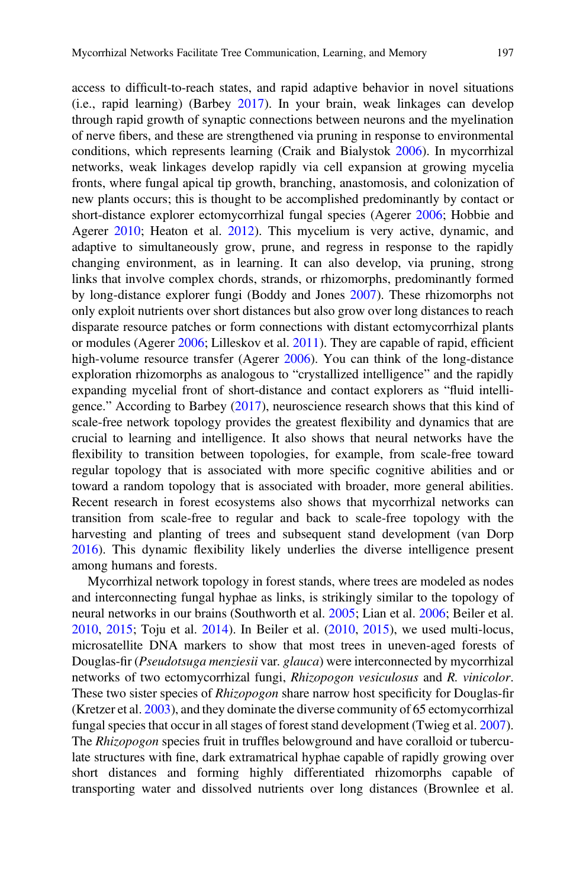access to difficult-to-reach states, and rapid adaptive behavior in novel situations (i.e., rapid learning) (Barbey [2017](#page-17-5)). In your brain, weak linkages can develop through rapid growth of synaptic connections between neurons and the myelination of nerve fibers, and these are strengthened via pruning in response to environmental conditions, which represents learning (Craik and Bialystok [2006\)](#page-18-5). In mycorrhizal networks, weak linkages develop rapidly via cell expansion at growing mycelia fronts, where fungal apical tip growth, branching, anastomosis, and colonization of new plants occurs; this is thought to be accomplished predominantly by contact or short-distance explorer ectomycorrhizal fungal species (Agerer [2006](#page-17-11); Hobbie and Agerer [2010;](#page-19-6) Heaton et al. [2012\)](#page-19-2). This mycelium is very active, dynamic, and adaptive to simultaneously grow, prune, and regress in response to the rapidly changing environment, as in learning. It can also develop, via pruning, strong links that involve complex chords, strands, or rhizomorphs, predominantly formed by long-distance explorer fungi (Boddy and Jones [2007\)](#page-17-12). These rhizomorphs not only exploit nutrients over short distances but also grow over long distances to reach disparate resource patches or form connections with distant ectomycorrhizal plants or modules (Agerer [2006](#page-17-11); Lilleskov et al. [2011\)](#page-20-6). They are capable of rapid, efficient high-volume resource transfer (Agerer [2006](#page-17-11)). You can think of the long-distance exploration rhizomorphs as analogous to "crystallized intelligence" and the rapidly expanding mycelial front of short-distance and contact explorers as "fluid intelligence." According to Barbey [\(2017](#page-17-5)), neuroscience research shows that this kind of scale-free network topology provides the greatest flexibility and dynamics that are crucial to learning and intelligence. It also shows that neural networks have the flexibility to transition between topologies, for example, from scale-free toward regular topology that is associated with more specific cognitive abilities and or toward a random topology that is associated with broader, more general abilities. Recent research in forest ecosystems also shows that mycorrhizal networks can transition from scale-free to regular and back to scale-free topology with the harvesting and planting of trees and subsequent stand development (van Dorp [2016\)](#page-22-1). This dynamic flexibility likely underlies the diverse intelligence present among humans and forests.

Mycorrhizal network topology in forest stands, where trees are modeled as nodes and interconnecting fungal hyphae as links, is strikingly similar to the topology of neural networks in our brains (Southworth et al. [2005;](#page-21-5) Lian et al. [2006](#page-20-7); Beiler et al. [2010,](#page-17-13) [2015;](#page-17-14) Toju et al. [2014](#page-21-6)). In Beiler et al. [\(2010](#page-17-13), [2015](#page-17-14)), we used multi-locus, microsatellite DNA markers to show that most trees in uneven-aged forests of Douglas-fir (Pseudotsuga menziesii var. glauca) were interconnected by mycorrhizal networks of two ectomycorrhizal fungi, Rhizopogon vesiculosus and R. vinicolor. These two sister species of Rhizopogon share narrow host specificity for Douglas-fir (Kretzer et al. [2003](#page-19-7)), and they dominate the diverse community of 65 ectomycorrhizal fungal species that occur in all stages of forest stand development (Twieg et al. [2007\)](#page-21-7). The Rhizopogon species fruit in truffles belowground and have coralloid or tuberculate structures with fine, dark extramatrical hyphae capable of rapidly growing over short distances and forming highly differentiated rhizomorphs capable of transporting water and dissolved nutrients over long distances (Brownlee et al.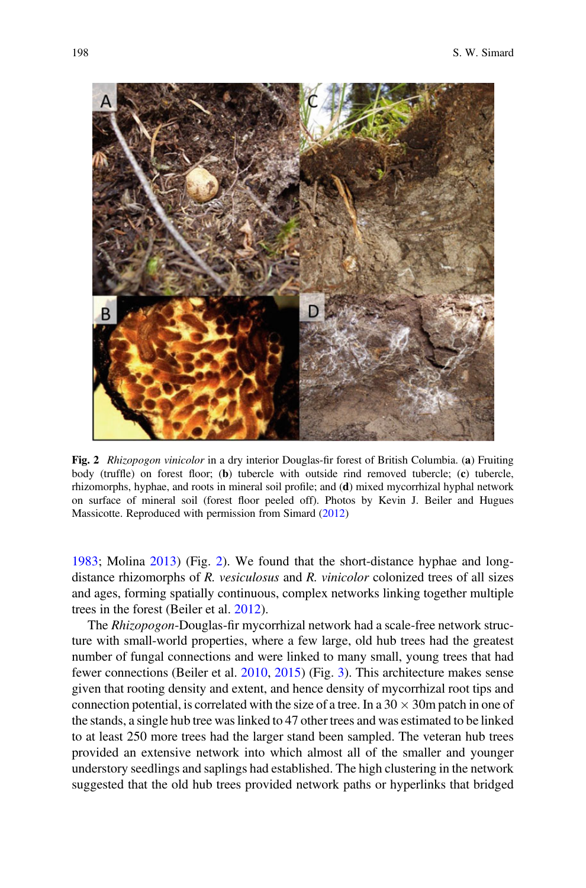<span id="page-7-0"></span>

Fig. 2 Rhizopogon vinicolor in a dry interior Douglas-fir forest of British Columbia. (a) Fruiting body (truffle) on forest floor; (b) tubercle with outside rind removed tubercle; (c) tubercle, rhizomorphs, hyphae, and roots in mineral soil profile; and (d) mixed mycorrhizal hyphal network on surface of mineral soil (forest floor peeled off). Photos by Kevin J. Beiler and Hugues Massicotte. Reproduced with permission from Simard ([2012\)](#page-21-4)

[1983;](#page-18-6) Molina [2013](#page-20-8)) (Fig. [2](#page-7-0)). We found that the short-distance hyphae and longdistance rhizomorphs of R. vesiculosus and R. vinicolor colonized trees of all sizes and ages, forming spatially continuous, complex networks linking together multiple trees in the forest (Beiler et al. [2012\)](#page-17-15).

The Rhizopogon-Douglas-fir mycorrhizal network had a scale-free network structure with small-world properties, where a few large, old hub trees had the greatest number of fungal connections and were linked to many small, young trees that had fewer connections (Beiler et al. [2010,](#page-17-13) [2015\)](#page-17-14) (Fig. [3](#page-8-0)). This architecture makes sense given that rooting density and extent, and hence density of mycorrhizal root tips and connection potential, is correlated with the size of a tree. In a  $30 \times 30$ m patch in one of the stands, a single hub tree was linked to 47 other trees and was estimated to be linked to at least 250 more trees had the larger stand been sampled. The veteran hub trees provided an extensive network into which almost all of the smaller and younger understory seedlings and saplings had established. The high clustering in the network suggested that the old hub trees provided network paths or hyperlinks that bridged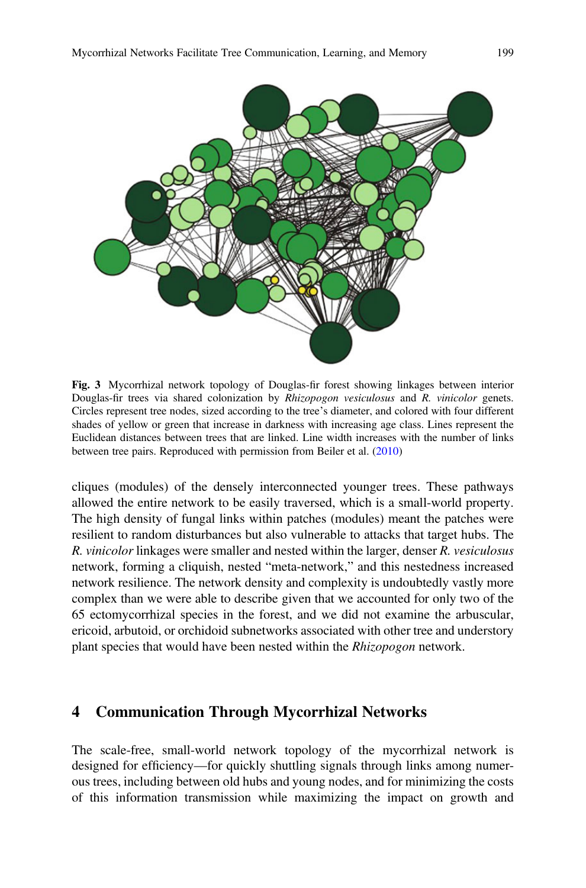<span id="page-8-0"></span>

Fig. 3 Mycorrhizal network topology of Douglas-fir forest showing linkages between interior Douglas-fir trees via shared colonization by *Rhizopogon vesiculosus* and *R. vinicolor* genets. Circles represent tree nodes, sized according to the tree's diameter, and colored with four different shades of yellow or green that increase in darkness with increasing age class. Lines represent the Euclidean distances between trees that are linked. Line width increases with the number of links between tree pairs. Reproduced with permission from Beiler et al. [\(2010](#page-17-13))

cliques (modules) of the densely interconnected younger trees. These pathways allowed the entire network to be easily traversed, which is a small-world property. The high density of fungal links within patches (modules) meant the patches were resilient to random disturbances but also vulnerable to attacks that target hubs. The R. vinicolor linkages were smaller and nested within the larger, denser R. vesiculosus network, forming a cliquish, nested "meta-network," and this nestedness increased network resilience. The network density and complexity is undoubtedly vastly more complex than we were able to describe given that we accounted for only two of the 65 ectomycorrhizal species in the forest, and we did not examine the arbuscular, ericoid, arbutoid, or orchidoid subnetworks associated with other tree and understory plant species that would have been nested within the Rhizopogon network.

### 4 Communication Through Mycorrhizal Networks

The scale-free, small-world network topology of the mycorrhizal network is designed for efficiency—for quickly shuttling signals through links among numerous trees, including between old hubs and young nodes, and for minimizing the costs of this information transmission while maximizing the impact on growth and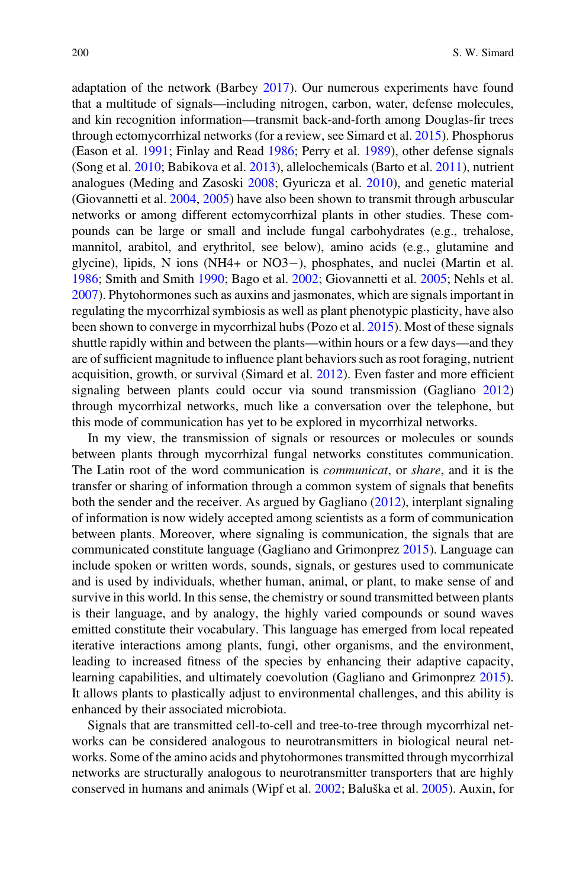adaptation of the network (Barbey [2017](#page-17-5)). Our numerous experiments have found that a multitude of signals—including nitrogen, carbon, water, defense molecules, and kin recognition information—transmit back-and-forth among Douglas-fir trees through ectomycorrhizal networks (for a review, see Simard et al. [2015](#page-21-8)). Phosphorus (Eason et al. [1991;](#page-18-7) Finlay and Read [1986;](#page-18-8) Perry et al. [1989](#page-20-9)), other defense signals (Song et al. [2010;](#page-21-9) Babikova et al. [2013](#page-17-16)), allelochemicals (Barto et al. [2011\)](#page-17-17), nutrient analogues (Meding and Zasoski [2008](#page-20-10); Gyuricza et al. [2010\)](#page-19-8), and genetic material (Giovannetti et al. [2004](#page-18-9), [2005](#page-19-9)) have also been shown to transmit through arbuscular networks or among different ectomycorrhizal plants in other studies. These compounds can be large or small and include fungal carbohydrates (e.g., trehalose, mannitol, arabitol, and erythritol, see below), amino acids (e.g., glutamine and glycine), lipids, N ions (NH4+ or NO3-), phosphates, and nuclei (Martin et al. [1986;](#page-20-11) Smith and Smith [1990](#page-21-10); Bago et al. [2002](#page-17-18); Giovannetti et al. [2005](#page-19-9); Nehls et al. [2007\)](#page-20-12). Phytohormones such as auxins and jasmonates, which are signals important in regulating the mycorrhizal symbiosis as well as plant phenotypic plasticity, have also been shown to converge in mycorrhizal hubs (Pozo et al. [2015\)](#page-20-13). Most of these signals shuttle rapidly within and between the plants—within hours or a few days—and they are of sufficient magnitude to influence plant behaviors such as root foraging, nutrient acquisition, growth, or survival (Simard et al. [2012](#page-21-11)). Even faster and more efficient signaling between plants could occur via sound transmission (Gagliano [2012](#page-18-10)) through mycorrhizal networks, much like a conversation over the telephone, but this mode of communication has yet to be explored in mycorrhizal networks.

In my view, the transmission of signals or resources or molecules or sounds between plants through mycorrhizal fungal networks constitutes communication. The Latin root of the word communication is communicat, or share, and it is the transfer or sharing of information through a common system of signals that benefits both the sender and the receiver. As argued by Gagliano [\(2012](#page-18-10)), interplant signaling of information is now widely accepted among scientists as a form of communication between plants. Moreover, where signaling is communication, the signals that are communicated constitute language (Gagliano and Grimonprez [2015](#page-18-11)). Language can include spoken or written words, sounds, signals, or gestures used to communicate and is used by individuals, whether human, animal, or plant, to make sense of and survive in this world. In this sense, the chemistry or sound transmitted between plants is their language, and by analogy, the highly varied compounds or sound waves emitted constitute their vocabulary. This language has emerged from local repeated iterative interactions among plants, fungi, other organisms, and the environment, leading to increased fitness of the species by enhancing their adaptive capacity, learning capabilities, and ultimately coevolution (Gagliano and Grimonprez [2015\)](#page-18-11). It allows plants to plastically adjust to environmental challenges, and this ability is enhanced by their associated microbiota.

Signals that are transmitted cell-to-cell and tree-to-tree through mycorrhizal networks can be considered analogous to neurotransmitters in biological neural networks. Some of the amino acids and phytohormones transmitted through mycorrhizal networks are structurally analogous to neurotransmitter transporters that are highly conserved in humans and animals (Wipf et al. [2002](#page-22-2); Baluška et al. [2005](#page-17-4)). Auxin, for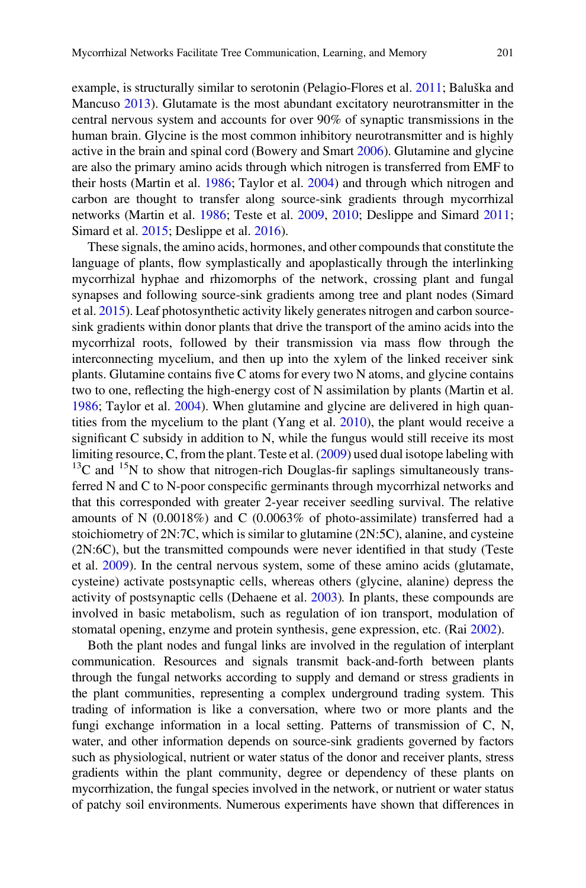example, is structurally similar to serotonin (Pelagio-Flores et al. [2011;](#page-20-14) Baluška and Mancuso [2013](#page-17-1)). Glutamate is the most abundant excitatory neurotransmitter in the central nervous system and accounts for over 90% of synaptic transmissions in the human brain. Glycine is the most common inhibitory neurotransmitter and is highly active in the brain and spinal cord (Bowery and Smart [2006\)](#page-17-19). Glutamine and glycine are also the primary amino acids through which nitrogen is transferred from EMF to their hosts (Martin et al. [1986;](#page-20-11) Taylor et al. [2004\)](#page-21-12) and through which nitrogen and carbon are thought to transfer along source-sink gradients through mycorrhizal networks (Martin et al. [1986;](#page-20-11) Teste et al. [2009](#page-21-3), [2010](#page-21-13); Deslippe and Simard [2011;](#page-18-12) Simard et al. [2015](#page-21-8); Deslippe et al. [2016\)](#page-18-13).

These signals, the amino acids, hormones, and other compounds that constitute the language of plants, flow symplastically and apoplastically through the interlinking mycorrhizal hyphae and rhizomorphs of the network, crossing plant and fungal synapses and following source-sink gradients among tree and plant nodes (Simard et al. [2015](#page-21-8)). Leaf photosynthetic activity likely generates nitrogen and carbon sourcesink gradients within donor plants that drive the transport of the amino acids into the mycorrhizal roots, followed by their transmission via mass flow through the interconnecting mycelium, and then up into the xylem of the linked receiver sink plants. Glutamine contains five C atoms for every two N atoms, and glycine contains two to one, reflecting the high-energy cost of N assimilation by plants (Martin et al. [1986;](#page-20-11) Taylor et al. [2004\)](#page-21-12). When glutamine and glycine are delivered in high quantities from the mycelium to the plant (Yang et al.  $2010$ ), the plant would receive a significant C subsidy in addition to N, while the fungus would still receive its most limiting resource, C, from the plant. Teste et al. [\(2009](#page-21-3)) used dual isotope labeling with  $13^1$ C and  $15^1$ N to show that nitrogen-rich Douglas-fir saplings simultaneously transferred N and C to N-poor conspecific germinants through mycorrhizal networks and that this corresponded with greater 2-year receiver seedling survival. The relative amounts of N  $(0.0018\%)$  and C  $(0.0063\%$  of photo-assimilate) transferred had a stoichiometry of 2N:7C, which is similar to glutamine (2N:5C), alanine, and cysteine (2N:6C), but the transmitted compounds were never identified in that study (Teste et al. [2009\)](#page-21-3). In the central nervous system, some of these amino acids (glutamate, cysteine) activate postsynaptic cells, whereas others (glycine, alanine) depress the activity of postsynaptic cells (Dehaene et al. [2003](#page-18-14)). In plants, these compounds are involved in basic metabolism, such as regulation of ion transport, modulation of stomatal opening, enzyme and protein synthesis, gene expression, etc. (Rai [2002\)](#page-20-15).

Both the plant nodes and fungal links are involved in the regulation of interplant communication. Resources and signals transmit back-and-forth between plants through the fungal networks according to supply and demand or stress gradients in the plant communities, representing a complex underground trading system. This trading of information is like a conversation, where two or more plants and the fungi exchange information in a local setting. Patterns of transmission of C, N, water, and other information depends on source-sink gradients governed by factors such as physiological, nutrient or water status of the donor and receiver plants, stress gradients within the plant community, degree or dependency of these plants on mycorrhization, the fungal species involved in the network, or nutrient or water status of patchy soil environments. Numerous experiments have shown that differences in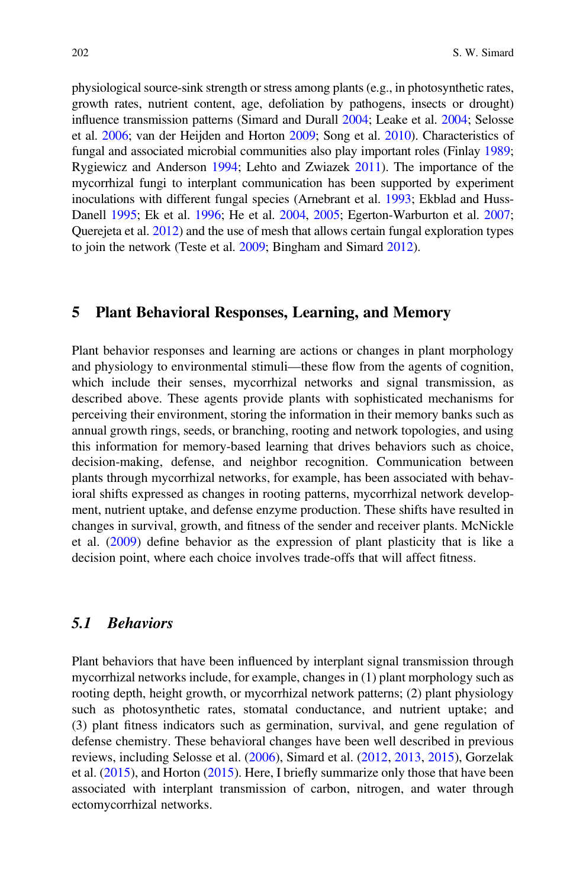physiological source-sink strength or stress among plants (e.g., in photosynthetic rates, growth rates, nutrient content, age, defoliation by pathogens, insects or drought) influence transmission patterns (Simard and Durall [2004](#page-21-14); Leake et al. [2004;](#page-19-10) Selosse et al. [2006](#page-21-15); van der Heijden and Horton [2009;](#page-22-4) Song et al. [2010](#page-21-9)). Characteristics of fungal and associated microbial communities also play important roles (Finlay [1989;](#page-18-15) Rygiewicz and Anderson [1994](#page-20-16); Lehto and Zwiazek [2011](#page-20-17)). The importance of the mycorrhizal fungi to interplant communication has been supported by experiment inoculations with different fungal species (Arnebrant et al. [1993;](#page-17-20) Ekblad and Huss-Danell [1995;](#page-18-16) Ek et al. [1996;](#page-18-17) He et al. [2004](#page-19-11), [2005;](#page-19-12) Egerton-Warburton et al. [2007;](#page-18-18) Querejeta et al. [2012](#page-20-18)) and the use of mesh that allows certain fungal exploration types to join the network (Teste et al. [2009](#page-21-3); Bingham and Simard [2012\)](#page-17-21).

### 5 Plant Behavioral Responses, Learning, and Memory

Plant behavior responses and learning are actions or changes in plant morphology and physiology to environmental stimuli—these flow from the agents of cognition, which include their senses, mycorrhizal networks and signal transmission, as described above. These agents provide plants with sophisticated mechanisms for perceiving their environment, storing the information in their memory banks such as annual growth rings, seeds, or branching, rooting and network topologies, and using this information for memory-based learning that drives behaviors such as choice, decision-making, defense, and neighbor recognition. Communication between plants through mycorrhizal networks, for example, has been associated with behavioral shifts expressed as changes in rooting patterns, mycorrhizal network development, nutrient uptake, and defense enzyme production. These shifts have resulted in changes in survival, growth, and fitness of the sender and receiver plants. McNickle et al. ([2009\)](#page-20-19) define behavior as the expression of plant plasticity that is like a decision point, where each choice involves trade-offs that will affect fitness.

#### $5.1$ **Behaviors**

Plant behaviors that have been influenced by interplant signal transmission through mycorrhizal networks include, for example, changes in (1) plant morphology such as rooting depth, height growth, or mycorrhizal network patterns; (2) plant physiology such as photosynthetic rates, stomatal conductance, and nutrient uptake; and (3) plant fitness indicators such as germination, survival, and gene regulation of defense chemistry. These behavioral changes have been well described in previous reviews, including Selosse et al. ([2006\)](#page-21-15), Simard et al. [\(2012](#page-21-11), [2013](#page-21-16), [2015](#page-21-8)), Gorzelak et al. ([2015\)](#page-19-13), and Horton ([2015\)](#page-19-4). Here, I briefly summarize only those that have been associated with interplant transmission of carbon, nitrogen, and water through ectomycorrhizal networks.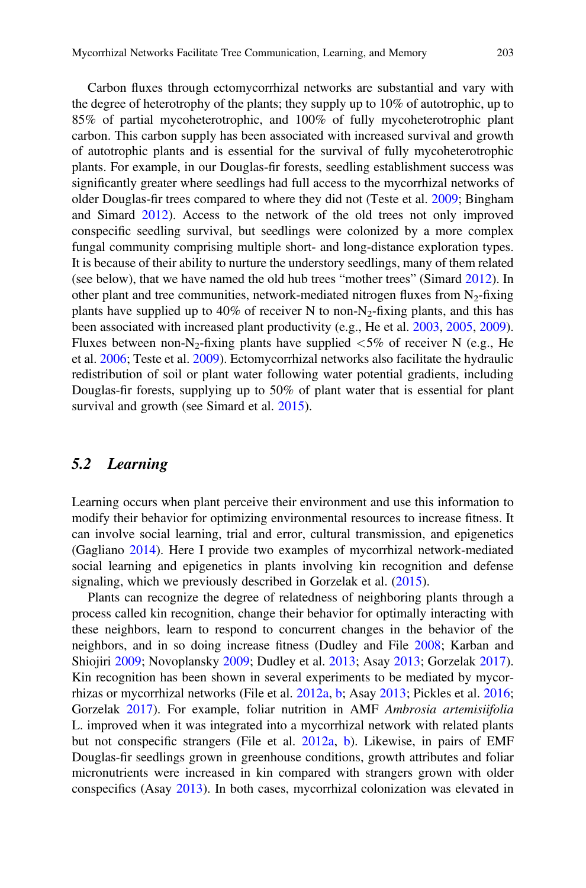Carbon fluxes through ectomycorrhizal networks are substantial and vary with the degree of heterotrophy of the plants; they supply up to 10% of autotrophic, up to 85% of partial mycoheterotrophic, and 100% of fully mycoheterotrophic plant carbon. This carbon supply has been associated with increased survival and growth of autotrophic plants and is essential for the survival of fully mycoheterotrophic plants. For example, in our Douglas-fir forests, seedling establishment success was significantly greater where seedlings had full access to the mycorrhizal networks of older Douglas-fir trees compared to where they did not (Teste et al. [2009;](#page-21-3) Bingham and Simard [2012](#page-17-21)). Access to the network of the old trees not only improved conspecific seedling survival, but seedlings were colonized by a more complex fungal community comprising multiple short- and long-distance exploration types. It is because of their ability to nurture the understory seedlings, many of them related (see below), that we have named the old hub trees "mother trees" (Simard [2012](#page-21-4)). In other plant and tree communities, network-mediated nitrogen fluxes from  $N_2$ -fixing plants have supplied up to 40% of receiver N to non- $N_2$ -fixing plants, and this has been associated with increased plant productivity (e.g., He et al. [2003,](#page-19-14) [2005,](#page-19-12) [2009\)](#page-19-15). Fluxes between non-N<sub>2</sub>-fixing plants have supplied  $\lt 5\%$  of receiver N (e.g., He et al. [2006](#page-19-16); Teste et al. [2009\)](#page-21-3). Ectomycorrhizal networks also facilitate the hydraulic redistribution of soil or plant water following water potential gradients, including Douglas-fir forests, supplying up to 50% of plant water that is essential for plant survival and growth (see Simard et al. [2015\)](#page-21-8).

### $5.2^{\circ}$ 5.2 Learning

Learning occurs when plant perceive their environment and use this information to modify their behavior for optimizing environmental resources to increase fitness. It can involve social learning, trial and error, cultural transmission, and epigenetics (Gagliano [2014](#page-18-2)). Here I provide two examples of mycorrhizal network-mediated social learning and epigenetics in plants involving kin recognition and defense signaling, which we previously described in Gorzelak et al. ([2015\)](#page-19-13).

Plants can recognize the degree of relatedness of neighboring plants through a process called kin recognition, change their behavior for optimally interacting with these neighbors, learn to respond to concurrent changes in the behavior of the neighbors, and in so doing increase fitness (Dudley and File [2008;](#page-18-19) Karban and Shiojiri [2009](#page-19-17); Novoplansky [2009](#page-20-20); Dudley et al. [2013;](#page-18-20) Asay [2013](#page-17-22); Gorzelak [2017\)](#page-19-18). Kin recognition has been shown in several experiments to be mediated by mycorrhizas or mycorrhizal networks (File et al. [2012a,](#page-18-21) [b;](#page-18-22) Asay [2013;](#page-17-22) Pickles et al. [2016;](#page-20-5) Gorzelak [2017\)](#page-19-18). For example, foliar nutrition in AMF Ambrosia artemisiifolia L. improved when it was integrated into a mycorrhizal network with related plants but not conspecific strangers (File et al. [2012a,](#page-18-21) [b\)](#page-18-22). Likewise, in pairs of EMF Douglas-fir seedlings grown in greenhouse conditions, growth attributes and foliar micronutrients were increased in kin compared with strangers grown with older conspecifics (Asay [2013](#page-17-22)). In both cases, mycorrhizal colonization was elevated in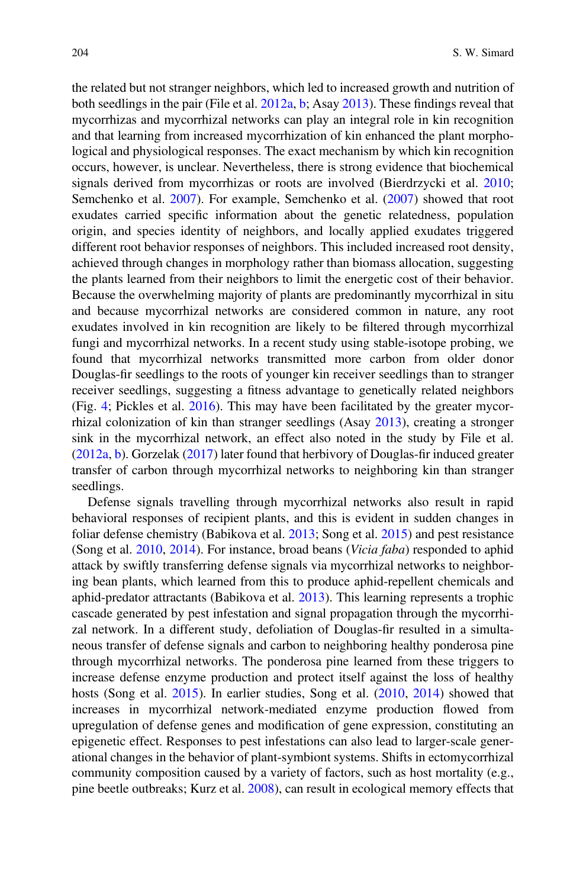the related but not stranger neighbors, which led to increased growth and nutrition of both seedlings in the pair (File et al. [2012a,](#page-18-21) [b;](#page-18-22) Asay [2013\)](#page-17-22). These findings reveal that mycorrhizas and mycorrhizal networks can play an integral role in kin recognition and that learning from increased mycorrhization of kin enhanced the plant morphological and physiological responses. The exact mechanism by which kin recognition occurs, however, is unclear. Nevertheless, there is strong evidence that biochemical signals derived from mycorrhizas or roots are involved (Bierdrzycki et al. [2010;](#page-17-3) Semchenko et al. [2007](#page-21-17)). For example, Semchenko et al. ([2007\)](#page-21-17) showed that root exudates carried specific information about the genetic relatedness, population origin, and species identity of neighbors, and locally applied exudates triggered different root behavior responses of neighbors. This included increased root density, achieved through changes in morphology rather than biomass allocation, suggesting the plants learned from their neighbors to limit the energetic cost of their behavior. Because the overwhelming majority of plants are predominantly mycorrhizal in situ and because mycorrhizal networks are considered common in nature, any root exudates involved in kin recognition are likely to be filtered through mycorrhizal fungi and mycorrhizal networks. In a recent study using stable-isotope probing, we found that mycorrhizal networks transmitted more carbon from older donor Douglas-fir seedlings to the roots of younger kin receiver seedlings than to stranger receiver seedlings, suggesting a fitness advantage to genetically related neighbors (Fig. [4](#page-14-0); Pickles et al. [2016\)](#page-20-5). This may have been facilitated by the greater mycorrhizal colonization of kin than stranger seedlings (Asay [2013](#page-17-22)), creating a stronger sink in the mycorrhizal network, an effect also noted in the study by File et al. [\(2012a](#page-18-21), [b\)](#page-18-22). Gorzelak [\(2017](#page-19-18)) later found that herbivory of Douglas-fir induced greater transfer of carbon through mycorrhizal networks to neighboring kin than stranger seedlings.

Defense signals travelling through mycorrhizal networks also result in rapid behavioral responses of recipient plants, and this is evident in sudden changes in foliar defense chemistry (Babikova et al. [2013;](#page-17-16) Song et al. [2015\)](#page-21-18) and pest resistance (Song et al. [2010](#page-21-9), [2014](#page-21-19)). For instance, broad beans (Vicia faba) responded to aphid attack by swiftly transferring defense signals via mycorrhizal networks to neighboring bean plants, which learned from this to produce aphid-repellent chemicals and aphid-predator attractants (Babikova et al. [2013\)](#page-17-16). This learning represents a trophic cascade generated by pest infestation and signal propagation through the mycorrhizal network. In a different study, defoliation of Douglas-fir resulted in a simultaneous transfer of defense signals and carbon to neighboring healthy ponderosa pine through mycorrhizal networks. The ponderosa pine learned from these triggers to increase defense enzyme production and protect itself against the loss of healthy hosts (Song et al. [2015](#page-21-18)). In earlier studies, Song et al. ([2010,](#page-21-9) [2014\)](#page-21-19) showed that increases in mycorrhizal network-mediated enzyme production flowed from upregulation of defense genes and modification of gene expression, constituting an epigenetic effect. Responses to pest infestations can also lead to larger-scale generational changes in the behavior of plant-symbiont systems. Shifts in ectomycorrhizal community composition caused by a variety of factors, such as host mortality (e.g., pine beetle outbreaks; Kurz et al. [2008\)](#page-19-19), can result in ecological memory effects that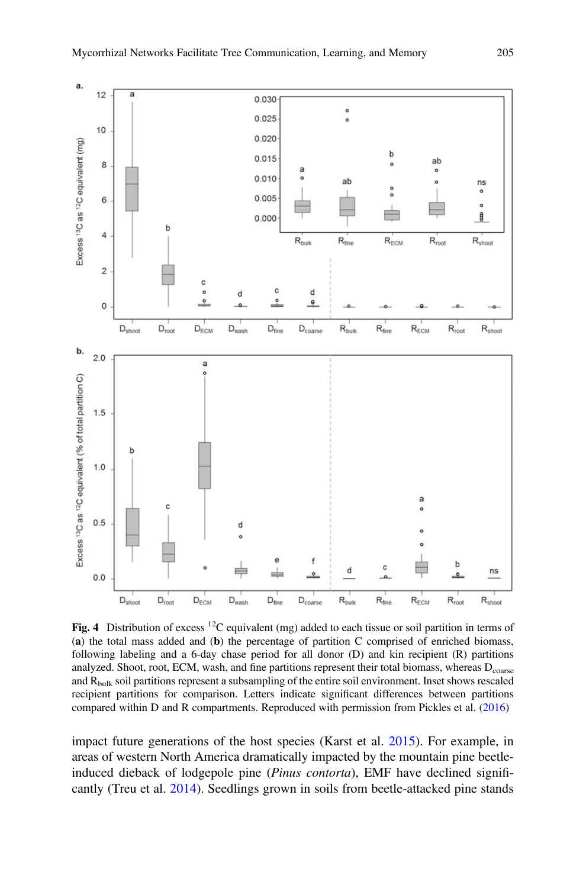<span id="page-14-0"></span>

Fig. 4 Distribution of excess  $^{12}$ C equivalent (mg) added to each tissue or soil partition in terms of (a) the total mass added and (b) the percentage of partition C comprised of enriched biomass, following labeling and a 6-day chase period for all donor (D) and kin recipient (R) partitions analyzed. Shoot, root, ECM, wash, and fine partitions represent their total biomass, whereas  $D_{\text{coarse}}$ and R<sub>bulk</sub> soil partitions represent a subsampling of the entire soil environment. Inset shows rescaled recipient partitions for comparison. Letters indicate significant differences between partitions compared within D and R compartments. Reproduced with permission from Pickles et al. [\(2016](#page-20-5))

impact future generations of the host species (Karst et al. [2015\)](#page-19-20). For example, in areas of western North America dramatically impacted by the mountain pine beetleinduced dieback of lodgepole pine (Pinus contorta), EMF have declined significantly (Treu et al. [2014\)](#page-21-20). Seedlings grown in soils from beetle-attacked pine stands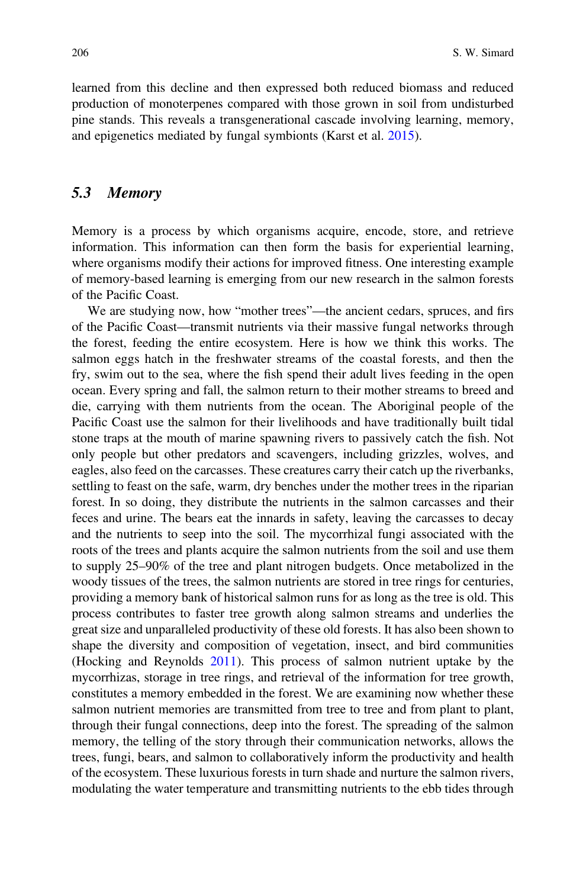learned from this decline and then expressed both reduced biomass and reduced production of monoterpenes compared with those grown in soil from undisturbed pine stands. This reveals a transgenerational cascade involving learning, memory, and epigenetics mediated by fungal symbionts (Karst et al. [2015](#page-19-20)).

### $5.3$  $\frac{3}{3}$

Memory is a process by which organisms acquire, encode, store, and retrieve information. This information can then form the basis for experiential learning, where organisms modify their actions for improved fitness. One interesting example of memory-based learning is emerging from our new research in the salmon forests of the Pacific Coast.

We are studying now, how "mother trees"—the ancient cedars, spruces, and firs of the Pacific Coast—transmit nutrients via their massive fungal networks through the forest, feeding the entire ecosystem. Here is how we think this works. The salmon eggs hatch in the freshwater streams of the coastal forests, and then the fry, swim out to the sea, where the fish spend their adult lives feeding in the open ocean. Every spring and fall, the salmon return to their mother streams to breed and die, carrying with them nutrients from the ocean. The Aboriginal people of the Pacific Coast use the salmon for their livelihoods and have traditionally built tidal stone traps at the mouth of marine spawning rivers to passively catch the fish. Not only people but other predators and scavengers, including grizzles, wolves, and eagles, also feed on the carcasses. These creatures carry their catch up the riverbanks, settling to feast on the safe, warm, dry benches under the mother trees in the riparian forest. In so doing, they distribute the nutrients in the salmon carcasses and their feces and urine. The bears eat the innards in safety, leaving the carcasses to decay and the nutrients to seep into the soil. The mycorrhizal fungi associated with the roots of the trees and plants acquire the salmon nutrients from the soil and use them to supply 25–90% of the tree and plant nitrogen budgets. Once metabolized in the woody tissues of the trees, the salmon nutrients are stored in tree rings for centuries, providing a memory bank of historical salmon runs for as long as the tree is old. This process contributes to faster tree growth along salmon streams and underlies the great size and unparalleled productivity of these old forests. It has also been shown to shape the diversity and composition of vegetation, insect, and bird communities (Hocking and Reynolds [2011\)](#page-19-21). This process of salmon nutrient uptake by the mycorrhizas, storage in tree rings, and retrieval of the information for tree growth, constitutes a memory embedded in the forest. We are examining now whether these salmon nutrient memories are transmitted from tree to tree and from plant to plant, through their fungal connections, deep into the forest. The spreading of the salmon memory, the telling of the story through their communication networks, allows the trees, fungi, bears, and salmon to collaboratively inform the productivity and health of the ecosystem. These luxurious forests in turn shade and nurture the salmon rivers, modulating the water temperature and transmitting nutrients to the ebb tides through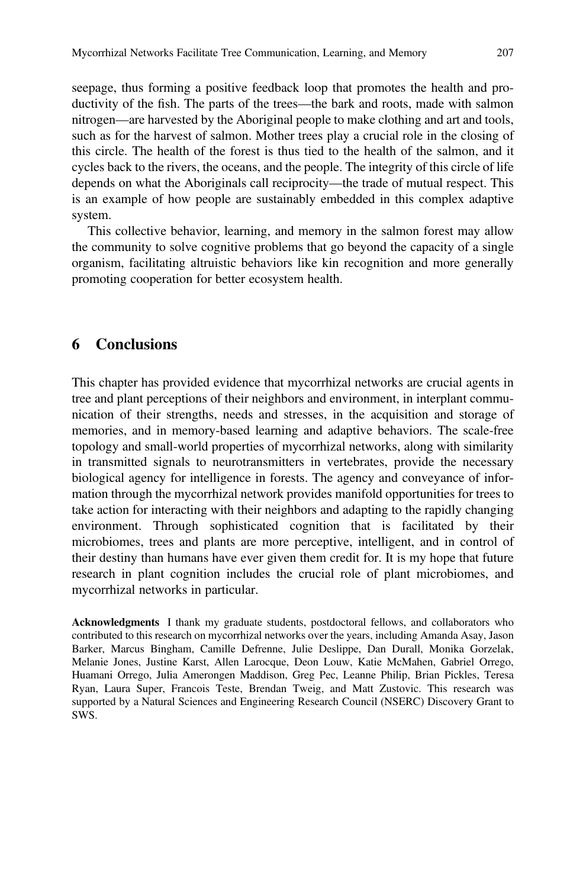seepage, thus forming a positive feedback loop that promotes the health and productivity of the fish. The parts of the trees—the bark and roots, made with salmon nitrogen—are harvested by the Aboriginal people to make clothing and art and tools, such as for the harvest of salmon. Mother trees play a crucial role in the closing of this circle. The health of the forest is thus tied to the health of the salmon, and it cycles back to the rivers, the oceans, and the people. The integrity of this circle of life depends on what the Aboriginals call reciprocity—the trade of mutual respect. This is an example of how people are sustainably embedded in this complex adaptive system.

This collective behavior, learning, and memory in the salmon forest may allow the community to solve cognitive problems that go beyond the capacity of a single organism, facilitating altruistic behaviors like kin recognition and more generally promoting cooperation for better ecosystem health.

### 6 Conclusions

This chapter has provided evidence that mycorrhizal networks are crucial agents in tree and plant perceptions of their neighbors and environment, in interplant communication of their strengths, needs and stresses, in the acquisition and storage of memories, and in memory-based learning and adaptive behaviors. The scale-free topology and small-world properties of mycorrhizal networks, along with similarity in transmitted signals to neurotransmitters in vertebrates, provide the necessary biological agency for intelligence in forests. The agency and conveyance of information through the mycorrhizal network provides manifold opportunities for trees to take action for interacting with their neighbors and adapting to the rapidly changing environment. Through sophisticated cognition that is facilitated by their microbiomes, trees and plants are more perceptive, intelligent, and in control of their destiny than humans have ever given them credit for. It is my hope that future research in plant cognition includes the crucial role of plant microbiomes, and mycorrhizal networks in particular.

Acknowledgments I thank my graduate students, postdoctoral fellows, and collaborators who contributed to this research on mycorrhizal networks over the years, including Amanda Asay, Jason Barker, Marcus Bingham, Camille Defrenne, Julie Deslippe, Dan Durall, Monika Gorzelak, Melanie Jones, Justine Karst, Allen Larocque, Deon Louw, Katie McMahen, Gabriel Orrego, Huamani Orrego, Julia Amerongen Maddison, Greg Pec, Leanne Philip, Brian Pickles, Teresa Ryan, Laura Super, Francois Teste, Brendan Tweig, and Matt Zustovic. This research was supported by a Natural Sciences and Engineering Research Council (NSERC) Discovery Grant to SWS.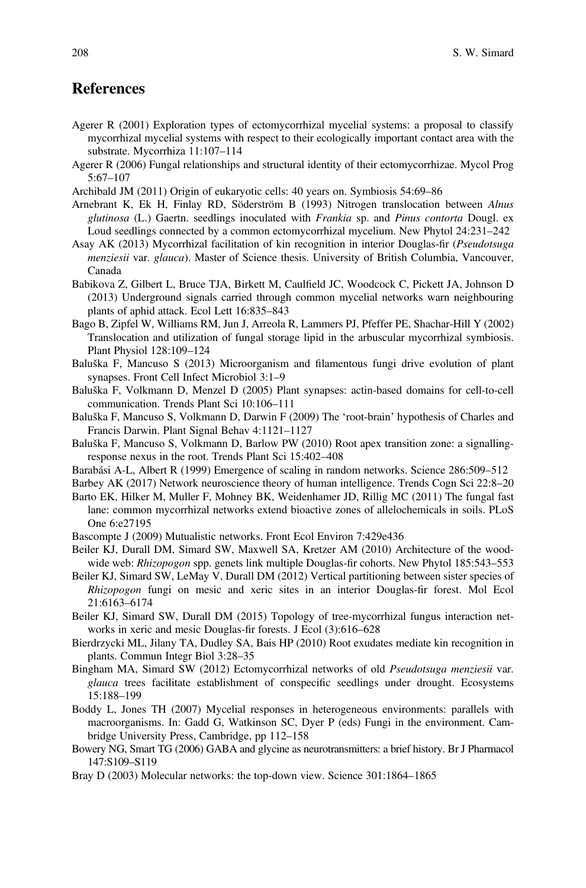## **References**

- <span id="page-17-9"></span>Agerer R (2001) Exploration types of ectomycorrhizal mycelial systems: a proposal to classify mycorrhizal mycelial systems with respect to their ecologically important contact area with the substrate. Mycorrhiza 11:107–114
- <span id="page-17-11"></span>Agerer R (2006) Fungal relationships and structural identity of their ectomycorrhizae. Mycol Prog 5:67–107
- <span id="page-17-0"></span>Archibald JM (2011) Origin of eukaryotic cells: 40 years on. Symbiosis 54:69–86
- <span id="page-17-20"></span>Arnebrant K, Ek H, Finlay RD, Söderström B (1993) Nitrogen translocation between Alnus glutinosa (L.) Gaertn. seedlings inoculated with Frankia sp. and Pinus contorta Dougl. ex Loud seedlings connected by a common ectomycorrhizal mycelium. New Phytol 24:231–242
- <span id="page-17-22"></span>Asay AK (2013) Mycorrhizal facilitation of kin recognition in interior Douglas-fir (Pseudotsuga menziesii var. glauca). Master of Science thesis. University of British Columbia, Vancouver, Canada
- <span id="page-17-16"></span>Babikova Z, Gilbert L, Bruce TJA, Birkett M, Caulfield JC, Woodcock C, Pickett JA, Johnson D (2013) Underground signals carried through common mycelial networks warn neighbouring plants of aphid attack. Ecol Lett 16:835–843
- <span id="page-17-18"></span>Bago B, Zipfel W, Williams RM, Jun J, Arreola R, Lammers PJ, Pfeffer PE, Shachar-Hill Y (2002) Translocation and utilization of fungal storage lipid in the arbuscular mycorrhizal symbiosis. Plant Physiol 128:109–124
- <span id="page-17-1"></span>Baluška F, Mancuso S (2013) Microorganism and filamentous fungi drive evolution of plant synapses. Front Cell Infect Microbiol 3:1–9
- <span id="page-17-4"></span>Baluška F, Volkmann D, Menzel D (2005) Plant synapses: actin-based domains for cell-to-cell communication. Trends Plant Sci 10:106–111
- <span id="page-17-6"></span>Baluška F, Mancuso S, Volkmann D, Darwin F (2009) The 'root-brain' hypothesis of Charles and Francis Darwin. Plant Signal Behav 4:1121–1127
- <span id="page-17-2"></span>Baluška F, Mancuso S, Volkmann D, Barlow PW (2010) Root apex transition zone: a signallingresponse nexus in the root. Trends Plant Sci 15:402–408
- <span id="page-17-10"></span>Barabási A-L, Albert R (1999) Emergence of scaling in random networks. Science 286:509–512
- <span id="page-17-5"></span>Barbey AK (2017) Network neuroscience theory of human intelligence. Trends Cogn Sci 22:8–20
- <span id="page-17-17"></span>Barto EK, Hilker M, Muller F, Mohney BK, Weidenhamer JD, Rillig MC (2011) The fungal fast lane: common mycorrhizal networks extend bioactive zones of allelochemicals in soils. PLoS One 6:e27195
- <span id="page-17-7"></span>Bascompte J (2009) Mutualistic networks. Front Ecol Environ 7:429e436
- <span id="page-17-13"></span>Beiler KJ, Durall DM, Simard SW, Maxwell SA, Kretzer AM (2010) Architecture of the woodwide web: Rhizopogon spp. genets link multiple Douglas-fir cohorts. New Phytol 185:543-553
- <span id="page-17-15"></span>Beiler KJ, Simard SW, LeMay V, Durall DM (2012) Vertical partitioning between sister species of Rhizopogon fungi on mesic and xeric sites in an interior Douglas-fir forest. Mol Ecol 21:6163–6174
- <span id="page-17-14"></span>Beiler KJ, Simard SW, Durall DM (2015) Topology of tree-mycorrhizal fungus interaction networks in xeric and mesic Douglas-fir forests. J Ecol (3):616–628
- <span id="page-17-3"></span>Bierdrzycki ML, Jilany TA, Dudley SA, Bais HP (2010) Root exudates mediate kin recognition in plants. Commun Integr Biol 3:28–35
- <span id="page-17-21"></span>Bingham MA, Simard SW (2012) Ectomycorrhizal networks of old Pseudotsuga menziesii var. glauca trees facilitate establishment of conspecific seedlings under drought. Ecosystems 15:188–199
- <span id="page-17-12"></span>Boddy L, Jones TH (2007) Mycelial responses in heterogeneous environments: parallels with macroorganisms. In: Gadd G, Watkinson SC, Dyer P (eds) Fungi in the environment. Cambridge University Press, Cambridge, pp 112–158
- <span id="page-17-19"></span>Bowery NG, Smart TG (2006) GABA and glycine as neurotransmitters: a brief history. Br J Pharmacol 147:S109–S119
- <span id="page-17-8"></span>Bray D (2003) Molecular networks: the top-down view. Science 301:1864–1865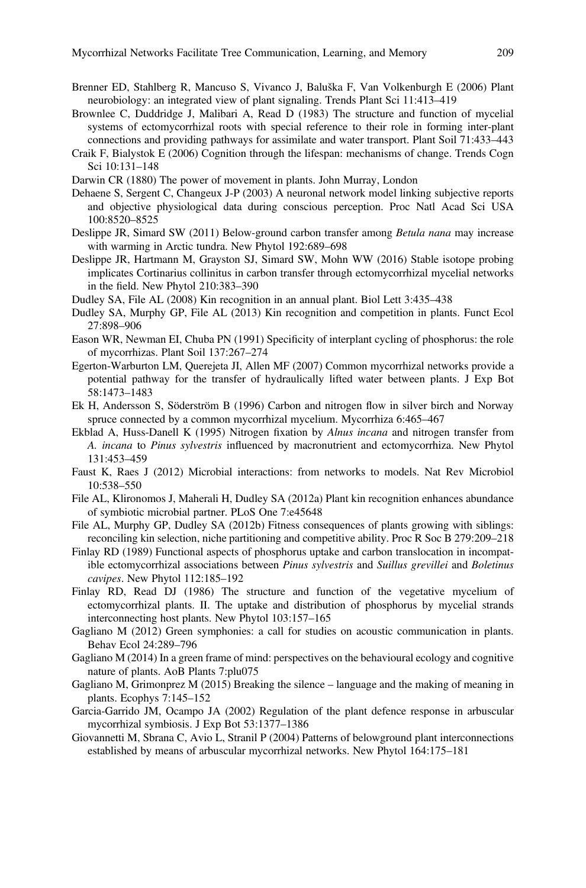- <span id="page-18-3"></span>Brenner ED, Stahlberg R, Mancuso S, Vivanco J, Baluška F, Van Volkenburgh E (2006) Plant neurobiology: an integrated view of plant signaling. Trends Plant Sci 11:413–419
- <span id="page-18-6"></span>Brownlee C, Duddridge J, Malibari A, Read D (1983) The structure and function of mycelial systems of ectomycorrhizal roots with special reference to their role in forming inter-plant connections and providing pathways for assimilate and water transport. Plant Soil 71:433–443
- <span id="page-18-5"></span>Craik F, Bialystok E (2006) Cognition through the lifespan: mechanisms of change. Trends Cogn Sci 10:131–148
- <span id="page-18-4"></span>Darwin CR (1880) The power of movement in plants. John Murray, London
- <span id="page-18-14"></span>Dehaene S, Sergent C, Changeux J-P (2003) A neuronal network model linking subjective reports and objective physiological data during conscious perception. Proc Natl Acad Sci USA 100:8520–8525
- <span id="page-18-12"></span>Deslippe JR, Simard SW (2011) Below-ground carbon transfer among Betula nana may increase with warming in Arctic tundra. New Phytol 192:689–698
- <span id="page-18-13"></span>Deslippe JR, Hartmann M, Grayston SJ, Simard SW, Mohn WW (2016) Stable isotope probing implicates Cortinarius collinitus in carbon transfer through ectomycorrhizal mycelial networks in the field. New Phytol 210:383–390
- <span id="page-18-19"></span>Dudley SA, File AL (2008) Kin recognition in an annual plant. Biol Lett 3:435–438
- <span id="page-18-20"></span>Dudley SA, Murphy GP, File AL (2013) Kin recognition and competition in plants. Funct Ecol 27:898–906
- <span id="page-18-7"></span>Eason WR, Newman EI, Chuba PN (1991) Specificity of interplant cycling of phosphorus: the role of mycorrhizas. Plant Soil 137:267–274
- <span id="page-18-18"></span>Egerton-Warburton LM, Querejeta JI, Allen MF (2007) Common mycorrhizal networks provide a potential pathway for the transfer of hydraulically lifted water between plants. J Exp Bot 58:1473–1483
- <span id="page-18-17"></span>Ek H, Andersson S, Söderström B (1996) Carbon and nitrogen flow in silver birch and Norway spruce connected by a common mycorrhizal mycelium. Mycorrhiza 6:465–467
- <span id="page-18-16"></span>Ekblad A, Huss-Danell K (1995) Nitrogen fixation by Alnus incana and nitrogen transfer from A. incana to Pinus sylvestris influenced by macronutrient and ectomycorrhiza. New Phytol 131:453–459
- <span id="page-18-0"></span>Faust K, Raes J (2012) Microbial interactions: from networks to models. Nat Rev Microbiol 10:538–550
- <span id="page-18-21"></span>File AL, Klironomos J, Maherali H, Dudley SA (2012a) Plant kin recognition enhances abundance of symbiotic microbial partner. PLoS One 7:e45648
- <span id="page-18-22"></span>File AL, Murphy GP, Dudley SA (2012b) Fitness consequences of plants growing with siblings: reconciling kin selection, niche partitioning and competitive ability. Proc R Soc B 279:209–218
- <span id="page-18-15"></span>Finlay RD (1989) Functional aspects of phosphorus uptake and carbon translocation in incompatible ectomycorrhizal associations between Pinus sylvestris and Suillus grevillei and Boletinus cavipes. New Phytol 112:185–192
- <span id="page-18-8"></span>Finlay RD, Read DJ (1986) The structure and function of the vegetative mycelium of ectomycorrhizal plants. II. The uptake and distribution of phosphorus by mycelial strands interconnecting host plants. New Phytol 103:157–165
- <span id="page-18-10"></span>Gagliano M (2012) Green symphonies: a call for studies on acoustic communication in plants. Behav Ecol 24:289–796
- <span id="page-18-2"></span>Gagliano M (2014) In a green frame of mind: perspectives on the behavioural ecology and cognitive nature of plants. AoB Plants 7:plu075
- <span id="page-18-11"></span>Gagliano M, Grimonprez M (2015) Breaking the silence – language and the making of meaning in plants. Ecophys 7:145–152
- <span id="page-18-1"></span>Garcia-Garrido JM, Ocampo JA (2002) Regulation of the plant defence response in arbuscular mycorrhizal symbiosis. J Exp Bot 53:1377–1386
- <span id="page-18-9"></span>Giovannetti M, Sbrana C, Avio L, Stranil P (2004) Patterns of belowground plant interconnections established by means of arbuscular mycorrhizal networks. New Phytol 164:175–181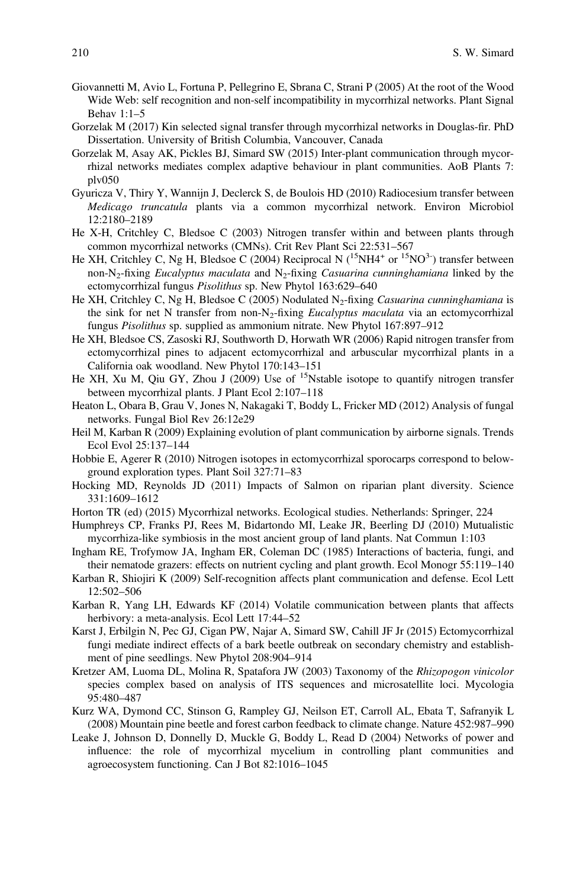- <span id="page-19-9"></span>Giovannetti M, Avio L, Fortuna P, Pellegrino E, Sbrana C, Strani P (2005) At the root of the Wood Wide Web: self recognition and non-self incompatibility in mycorrhizal networks. Plant Signal Behav 1:1–5
- <span id="page-19-18"></span>Gorzelak M (2017) Kin selected signal transfer through mycorrhizal networks in Douglas-fir. PhD Dissertation. University of British Columbia, Vancouver, Canada
- <span id="page-19-13"></span>Gorzelak M, Asay AK, Pickles BJ, Simard SW (2015) Inter-plant communication through mycorrhizal networks mediates complex adaptive behaviour in plant communities. AoB Plants 7: plv050
- <span id="page-19-8"></span>Gyuricza V, Thiry Y, Wannijn J, Declerck S, de Boulois HD (2010) Radiocesium transfer between Medicago truncatula plants via a common mycorrhizal network. Environ Microbiol 12:2180–2189
- <span id="page-19-14"></span>He X-H, Critchley C, Bledsoe C (2003) Nitrogen transfer within and between plants through common mycorrhizal networks (CMNs). Crit Rev Plant Sci 22:531–567
- <span id="page-19-11"></span>He XH, Critchley C, Ng H, Bledsoe C (2004) Reciprocal N ( $^{15}NH4^+$  or  $^{15}NO^3$ ) transfer between non-N<sub>2</sub>-fixing *Eucalyptus maculata* and N<sub>2</sub>-fixing *Casuarina cunninghamiana* linked by the ectomycorrhizal fungus Pisolithus sp. New Phytol 163:629–640
- <span id="page-19-12"></span>He XH, Critchley C, Ng H, Bledsoe C (2005) Nodulated N<sub>2</sub>-fixing Casuarina cunninghamiana is the sink for net N transfer from non- $N<sub>2</sub>$ -fixing *Eucalyptus maculata* via an ectomycorrhizal fungus Pisolithus sp. supplied as ammonium nitrate. New Phytol 167:897–912
- <span id="page-19-16"></span>He XH, Bledsoe CS, Zasoski RJ, Southworth D, Horwath WR (2006) Rapid nitrogen transfer from ectomycorrhizal pines to adjacent ectomycorrhizal and arbuscular mycorrhizal plants in a California oak woodland. New Phytol 170:143–151
- <span id="page-19-15"></span>He XH, Xu M, Qiu GY, Zhou J (2009) Use of  $15$ Nstable isotope to quantify nitrogen transfer between mycorrhizal plants. J Plant Ecol 2:107–118
- <span id="page-19-2"></span>Heaton L, Obara B, Grau V, Jones N, Nakagaki T, Boddy L, Fricker MD (2012) Analysis of fungal networks. Fungal Biol Rev 26:12e29
- <span id="page-19-3"></span>Heil M, Karban R (2009) Explaining evolution of plant communication by airborne signals. Trends Ecol Evol 25:137–144
- <span id="page-19-6"></span>Hobbie E, Agerer R (2010) Nitrogen isotopes in ectomycorrhizal sporocarps correspond to belowground exploration types. Plant Soil 327:71–83
- <span id="page-19-21"></span>Hocking MD, Reynolds JD (2011) Impacts of Salmon on riparian plant diversity. Science 331:1609–1612
- <span id="page-19-1"></span>Horton TR (ed) (2015) Mycorrhizal networks. Ecological studies. Netherlands: Springer, 224
- <span id="page-19-4"></span>Humphreys CP, Franks PJ, Rees M, Bidartondo MI, Leake JR, Beerling DJ (2010) Mutualistic mycorrhiza-like symbiosis in the most ancient group of land plants. Nat Commun 1:103
- <span id="page-19-0"></span>Ingham RE, Trofymow JA, Ingham ER, Coleman DC (1985) Interactions of bacteria, fungi, and their nematode grazers: effects on nutrient cycling and plant growth. Ecol Monogr 55:119–140
- <span id="page-19-17"></span>Karban R, Shiojiri K (2009) Self-recognition affects plant communication and defense. Ecol Lett 12:502–506
- <span id="page-19-5"></span>Karban R, Yang LH, Edwards KF (2014) Volatile communication between plants that affects herbivory: a meta-analysis. Ecol Lett 17:44–52
- <span id="page-19-20"></span>Karst J, Erbilgin N, Pec GJ, Cigan PW, Najar A, Simard SW, Cahill JF Jr (2015) Ectomycorrhizal fungi mediate indirect effects of a bark beetle outbreak on secondary chemistry and establishment of pine seedlings. New Phytol 208:904–914
- <span id="page-19-7"></span>Kretzer AM, Luoma DL, Molina R, Spatafora JW (2003) Taxonomy of the *Rhizopogon vinicolor* species complex based on analysis of ITS sequences and microsatellite loci. Mycologia 95:480–487
- <span id="page-19-19"></span>Kurz WA, Dymond CC, Stinson G, Rampley GJ, Neilson ET, Carroll AL, Ebata T, Safranyik L (2008) Mountain pine beetle and forest carbon feedback to climate change. Nature 452:987–990
- <span id="page-19-10"></span>Leake J, Johnson D, Donnelly D, Muckle G, Boddy L, Read D (2004) Networks of power and influence: the role of mycorrhizal mycelium in controlling plant communities and agroecosystem functioning. Can J Bot 82:1016–1045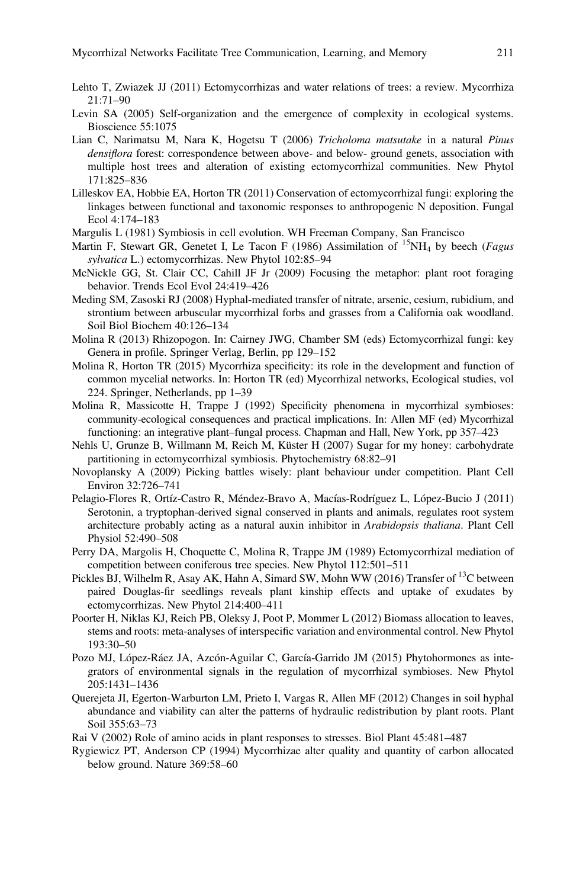- <span id="page-20-17"></span>Lehto T, Zwiazek JJ (2011) Ectomycorrhizas and water relations of trees: a review. Mycorrhiza 21:71–90
- <span id="page-20-0"></span>Levin SA (2005) Self-organization and the emergence of complexity in ecological systems. Bioscience 55:1075
- <span id="page-20-7"></span>Lian C, Narimatsu M, Nara K, Hogetsu T (2006) Tricholoma matsutake in a natural Pinus densiflora forest: correspondence between above- and below- ground genets, association with multiple host trees and alteration of existing ectomycorrhizal communities. New Phytol 171:825–836
- <span id="page-20-6"></span>Lilleskov EA, Hobbie EA, Horton TR (2011) Conservation of ectomycorrhizal fungi: exploring the linkages between functional and taxonomic responses to anthropogenic N deposition. Fungal Ecol 4:174–183
- <span id="page-20-1"></span>Margulis L (1981) Symbiosis in cell evolution. WH Freeman Company, San Francisco
- <span id="page-20-11"></span>Martin F, Stewart GR, Genetet I, Le Tacon F (1986) Assimilation of <sup>15</sup>NH<sub>4</sub> by beech (*Fagus* sylvatica L.) ectomycorrhizas. New Phytol 102:85–94
- <span id="page-20-19"></span>McNickle GG, St. Clair CC, Cahill JF Jr (2009) Focusing the metaphor: plant root foraging behavior. Trends Ecol Evol 24:419–426
- <span id="page-20-10"></span>Meding SM, Zasoski RJ (2008) Hyphal-mediated transfer of nitrate, arsenic, cesium, rubidium, and strontium between arbuscular mycorrhizal forbs and grasses from a California oak woodland. Soil Biol Biochem 40:126–134
- <span id="page-20-8"></span>Molina R (2013) Rhizopogon. In: Cairney JWG, Chamber SM (eds) Ectomycorrhizal fungi: key Genera in profile. Springer Verlag, Berlin, pp 129–152
- <span id="page-20-3"></span>Molina R, Horton TR (2015) Mycorrhiza specificity: its role in the development and function of common mycelial networks. In: Horton TR (ed) Mycorrhizal networks, Ecological studies, vol 224. Springer, Netherlands, pp 1–39
- <span id="page-20-4"></span>Molina R, Massicotte H, Trappe J (1992) Specificity phenomena in mycorrhizal symbioses: community-ecological consequences and practical implications. In: Allen MF (ed) Mycorrhizal functioning: an integrative plant–fungal process. Chapman and Hall, New York, pp 357–423
- <span id="page-20-12"></span>Nehls U, Grunze B, Willmann M, Reich M, Küster H (2007) Sugar for my honey: carbohydrate partitioning in ectomycorrhizal symbiosis. Phytochemistry 68:82–91
- <span id="page-20-20"></span>Novoplansky A (2009) Picking battles wisely: plant behaviour under competition. Plant Cell Environ 32:726–741
- <span id="page-20-14"></span>Pelagio-Flores R, Ortíz-Castro R, Méndez-Bravo A, Macías-Rodríguez L, López-Bucio J (2011) Serotonin, a tryptophan-derived signal conserved in plants and animals, regulates root system architecture probably acting as a natural auxin inhibitor in Arabidopsis thaliana. Plant Cell Physiol 52:490–508
- <span id="page-20-9"></span>Perry DA, Margolis H, Choquette C, Molina R, Trappe JM (1989) Ectomycorrhizal mediation of competition between coniferous tree species. New Phytol 112:501–511
- <span id="page-20-5"></span>Pickles BJ, Wilhelm R, Asay AK, Hahn A, Simard SW, Mohn WW (2016) Transfer of <sup>13</sup>C between paired Douglas-fir seedlings reveals plant kinship effects and uptake of exudates by ectomycorrhizas. New Phytol 214:400–411
- <span id="page-20-2"></span>Poorter H, Niklas KJ, Reich PB, Oleksy J, Poot P, Mommer L (2012) Biomass allocation to leaves, stems and roots: meta-analyses of interspecific variation and environmental control. New Phytol 193:30–50
- <span id="page-20-13"></span>Pozo MJ, López-Ráez JA, Azcón-Aguilar C, García-Garrido JM (2015) Phytohormones as integrators of environmental signals in the regulation of mycorrhizal symbioses. New Phytol 205:1431–1436
- <span id="page-20-18"></span>Querejeta JI, Egerton-Warburton LM, Prieto I, Vargas R, Allen MF (2012) Changes in soil hyphal abundance and viability can alter the patterns of hydraulic redistribution by plant roots. Plant Soil 355:63–73
- <span id="page-20-15"></span>Rai V (2002) Role of amino acids in plant responses to stresses. Biol Plant 45:481–487
- <span id="page-20-16"></span>Rygiewicz PT, Anderson CP (1994) Mycorrhizae alter quality and quantity of carbon allocated below ground. Nature 369:58–60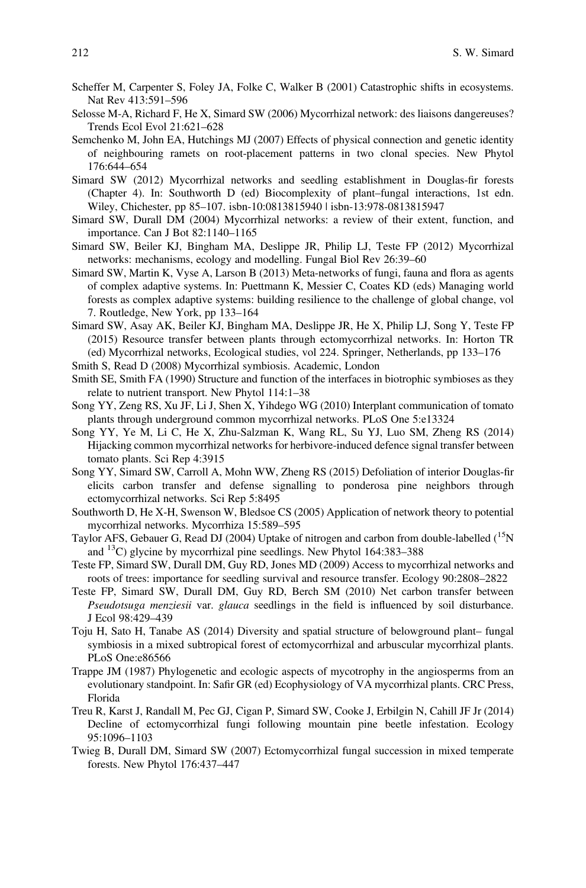- <span id="page-21-0"></span>Scheffer M, Carpenter S, Foley JA, Folke C, Walker B (2001) Catastrophic shifts in ecosystems. Nat Rev 413:591–596
- <span id="page-21-15"></span>Selosse M-A, Richard F, He X, Simard SW (2006) Mycorrhizal network: des liaisons dangereuses? Trends Ecol Evol 21:621–628
- <span id="page-21-17"></span>Semchenko M, John EA, Hutchings MJ (2007) Effects of physical connection and genetic identity of neighbouring ramets on root-placement patterns in two clonal species. New Phytol 176:644–654
- <span id="page-21-4"></span>Simard SW (2012) Mycorrhizal networks and seedling establishment in Douglas-fir forests (Chapter 4). In: Southworth D (ed) Biocomplexity of plant–fungal interactions, 1st edn. Wiley, Chichester, pp 85–107. isbn-10:0813815940 | isbn-13:978-0813815947
- <span id="page-21-14"></span>Simard SW, Durall DM (2004) Mycorrhizal networks: a review of their extent, function, and importance. Can J Bot 82:1140–1165
- <span id="page-21-11"></span>Simard SW, Beiler KJ, Bingham MA, Deslippe JR, Philip LJ, Teste FP (2012) Mycorrhizal networks: mechanisms, ecology and modelling. Fungal Biol Rev 26:39–60
- <span id="page-21-16"></span>Simard SW, Martin K, Vyse A, Larson B (2013) Meta-networks of fungi, fauna and flora as agents of complex adaptive systems. In: Puettmann K, Messier C, Coates KD (eds) Managing world forests as complex adaptive systems: building resilience to the challenge of global change, vol 7. Routledge, New York, pp 133–164
- <span id="page-21-8"></span>Simard SW, Asay AK, Beiler KJ, Bingham MA, Deslippe JR, He X, Philip LJ, Song Y, Teste FP (2015) Resource transfer between plants through ectomycorrhizal networks. In: Horton TR (ed) Mycorrhizal networks, Ecological studies, vol 224. Springer, Netherlands, pp 133–176
- <span id="page-21-2"></span>Smith S, Read D (2008) Mycorrhizal symbiosis. Academic, London
- <span id="page-21-10"></span>Smith SE, Smith FA (1990) Structure and function of the interfaces in biotrophic symbioses as they relate to nutrient transport. New Phytol 114:1–38
- <span id="page-21-9"></span>Song YY, Zeng RS, Xu JF, Li J, Shen X, Yihdego WG (2010) Interplant communication of tomato plants through underground common mycorrhizal networks. PLoS One 5:e13324
- <span id="page-21-19"></span>Song YY, Ye M, Li C, He X, Zhu-Salzman K, Wang RL, Su YJ, Luo SM, Zheng RS (2014) Hijacking common mycorrhizal networks for herbivore-induced defence signal transfer between tomato plants. Sci Rep 4:3915
- <span id="page-21-18"></span>Song YY, Simard SW, Carroll A, Mohn WW, Zheng RS (2015) Defoliation of interior Douglas-fir elicits carbon transfer and defense signalling to ponderosa pine neighbors through ectomycorrhizal networks. Sci Rep 5:8495
- <span id="page-21-5"></span>Southworth D, He X-H, Swenson W, Bledsoe CS (2005) Application of network theory to potential mycorrhizal networks. Mycorrhiza 15:589–595
- <span id="page-21-12"></span>Taylor AFS, Gebauer G, Read DJ (2004) Uptake of nitrogen and carbon from double-labelled (<sup>15</sup>N and  $^{13}$ C) glycine by mycorrhizal pine seedlings. New Phytol 164:383–388
- <span id="page-21-3"></span>Teste FP, Simard SW, Durall DM, Guy RD, Jones MD (2009) Access to mycorrhizal networks and roots of trees: importance for seedling survival and resource transfer. Ecology 90:2808–2822
- <span id="page-21-13"></span>Teste FP, Simard SW, Durall DM, Guy RD, Berch SM (2010) Net carbon transfer between Pseudotsuga menziesii var. glauca seedlings in the field is influenced by soil disturbance. J Ecol 98:429–439
- <span id="page-21-6"></span>Toju H, Sato H, Tanabe AS (2014) Diversity and spatial structure of belowground plant– fungal symbiosis in a mixed subtropical forest of ectomycorrhizal and arbuscular mycorrhizal plants. PLoS One:e86566
- <span id="page-21-1"></span>Trappe JM (1987) Phylogenetic and ecologic aspects of mycotrophy in the angiosperms from an evolutionary standpoint. In: Safir GR (ed) Ecophysiology of VA mycorrhizal plants. CRC Press, Florida
- <span id="page-21-20"></span>Treu R, Karst J, Randall M, Pec GJ, Cigan P, Simard SW, Cooke J, Erbilgin N, Cahill JF Jr (2014) Decline of ectomycorrhizal fungi following mountain pine beetle infestation. Ecology 95:1096–1103
- <span id="page-21-7"></span>Twieg B, Durall DM, Simard SW (2007) Ectomycorrhizal fungal succession in mixed temperate forests. New Phytol 176:437–447